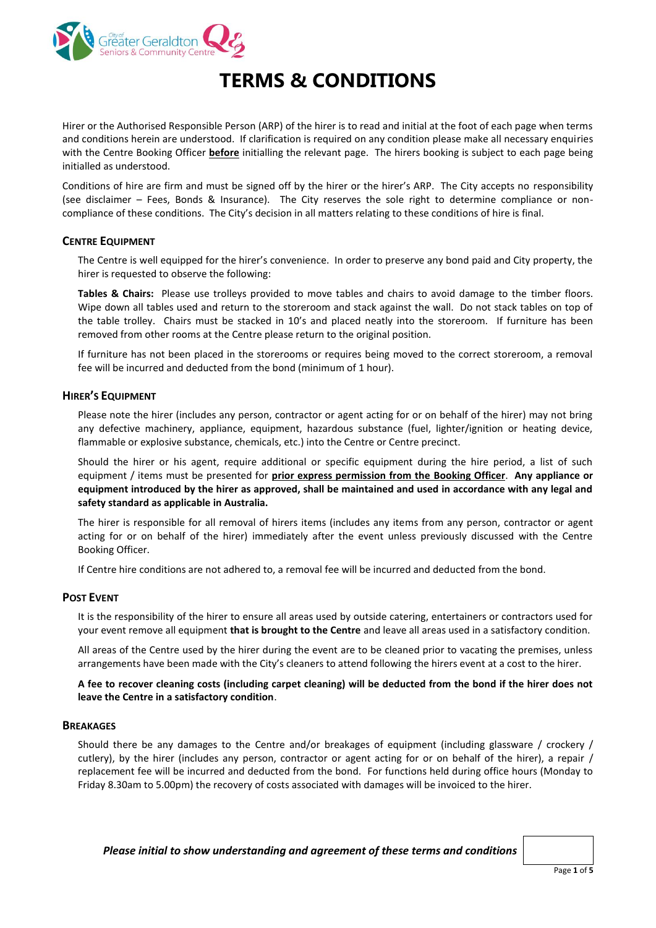

# **TERMS & CONDITIONS**

Hirer or the Authorised Responsible Person (ARP) of the hirer is to read and initial at the foot of each page when terms and conditions herein are understood. If clarification is required on any condition please make all necessary enquiries with the Centre Booking Officer **before** initialling the relevant page. The hirers booking is subject to each page being initialled as understood.

Conditions of hire are firm and must be signed off by the hirer or the hirer's ARP. The City accepts no responsibility (see disclaimer – Fees, Bonds & Insurance). The City reserves the sole right to determine compliance or noncompliance of these conditions. The City's decision in all matters relating to these conditions of hire is final.

# **CENTRE EQUIPMENT**

The Centre is well equipped for the hirer's convenience. In order to preserve any bond paid and City property, the hirer is requested to observe the following:

**Tables & Chairs:** Please use trolleys provided to move tables and chairs to avoid damage to the timber floors. Wipe down all tables used and return to the storeroom and stack against the wall. Do not stack tables on top of the table trolley. Chairs must be stacked in 10's and placed neatly into the storeroom. If furniture has been removed from other rooms at the Centre please return to the original position.

If furniture has not been placed in the storerooms or requires being moved to the correct storeroom, a removal fee will be incurred and deducted from the bond (minimum of 1 hour).

## **HIRER'S EQUIPMENT**

Please note the hirer (includes any person, contractor or agent acting for or on behalf of the hirer) may not bring any defective machinery, appliance, equipment, hazardous substance (fuel, lighter/ignition or heating device, flammable or explosive substance, chemicals, etc.) into the Centre or Centre precinct.

Should the hirer or his agent, require additional or specific equipment during the hire period, a list of such equipment / items must be presented for **prior express permission from the Booking Officer**. **Any appliance or equipment introduced by the hirer as approved, shall be maintained and used in accordance with any legal and safety standard as applicable in Australia.**

The hirer is responsible for all removal of hirers items (includes any items from any person, contractor or agent acting for or on behalf of the hirer) immediately after the event unless previously discussed with the Centre Booking Officer.

If Centre hire conditions are not adhered to, a removal fee will be incurred and deducted from the bond.

# **POST EVENT**

It is the responsibility of the hirer to ensure all areas used by outside catering, entertainers or contractors used for your event remove all equipment **that is brought to the Centre** and leave all areas used in a satisfactory condition.

All areas of the Centre used by the hirer during the event are to be cleaned prior to vacating the premises, unless arrangements have been made with the City's cleaners to attend following the hirers event at a cost to the hirer.

**A fee to recover cleaning costs (including carpet cleaning) will be deducted from the bond if the hirer does not leave the Centre in a satisfactory condition**.

#### **BREAKAGES**

Should there be any damages to the Centre and/or breakages of equipment (including glassware / crockery / cutlery), by the hirer (includes any person, contractor or agent acting for or on behalf of the hirer), a repair / replacement fee will be incurred and deducted from the bond. For functions held during office hours (Monday to Friday 8.30am to 5.00pm) the recovery of costs associated with damages will be invoiced to the hirer.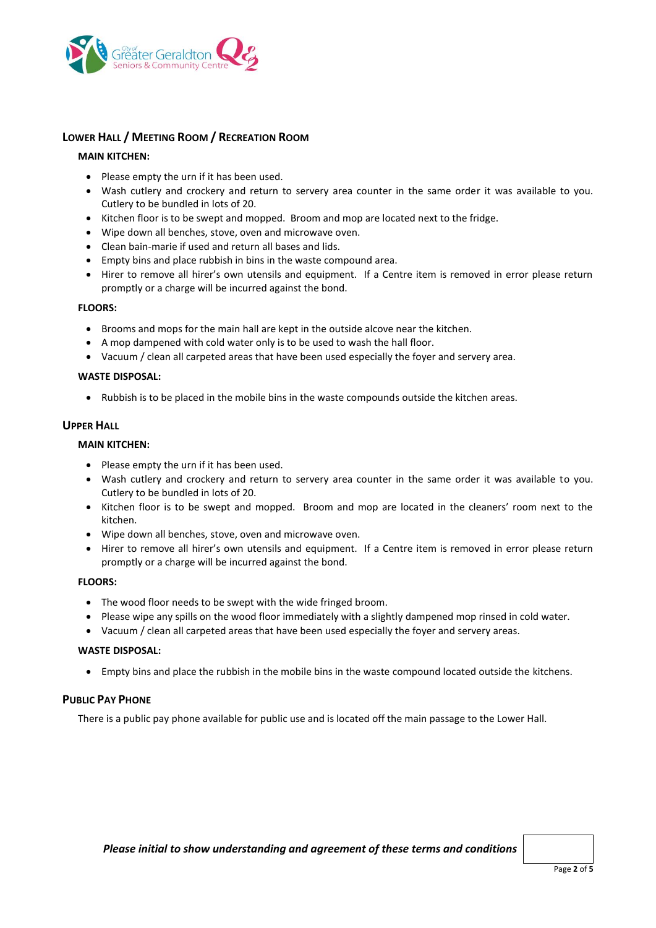

# **LOWER HALL / MEETING ROOM / RECREATION ROOM**

## **MAIN KITCHEN:**

- Please empty the urn if it has been used.
- Wash cutlery and crockery and return to servery area counter in the same order it was available to you. Cutlery to be bundled in lots of 20.
- Kitchen floor is to be swept and mopped. Broom and mop are located next to the fridge.
- Wipe down all benches, stove, oven and microwave oven.
- Clean bain-marie if used and return all bases and lids.
- Empty bins and place rubbish in bins in the waste compound area.
- Hirer to remove all hirer's own utensils and equipment. If a Centre item is removed in error please return promptly or a charge will be incurred against the bond.

#### **FLOORS:**

- Brooms and mops for the main hall are kept in the outside alcove near the kitchen.
- A mop dampened with cold water only is to be used to wash the hall floor.
- Vacuum / clean all carpeted areas that have been used especially the foyer and servery area.

#### **WASTE DISPOSAL:**

• Rubbish is to be placed in the mobile bins in the waste compounds outside the kitchen areas.

## **UPPER HALL**

#### **MAIN KITCHEN:**

- Please empty the urn if it has been used.
- Wash cutlery and crockery and return to servery area counter in the same order it was available to you. Cutlery to be bundled in lots of 20.
- Kitchen floor is to be swept and mopped. Broom and mop are located in the cleaners' room next to the kitchen.
- Wipe down all benches, stove, oven and microwave oven.
- Hirer to remove all hirer's own utensils and equipment. If a Centre item is removed in error please return promptly or a charge will be incurred against the bond.

#### **FLOORS:**

- The wood floor needs to be swept with the wide fringed broom.
- Please wipe any spills on the wood floor immediately with a slightly dampened mop rinsed in cold water.
- Vacuum / clean all carpeted areas that have been used especially the foyer and servery areas.

#### **WASTE DISPOSAL:**

Empty bins and place the rubbish in the mobile bins in the waste compound located outside the kitchens.

# **PUBLIC PAY PHONE**

There is a public pay phone available for public use and is located off the main passage to the Lower Hall.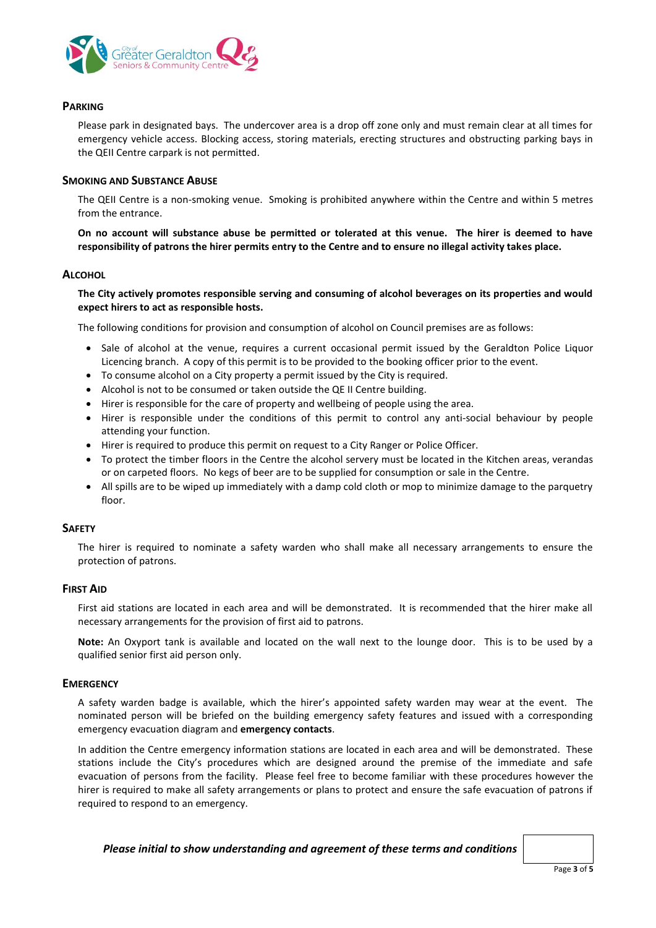

# **PARKING**

Please park in designated bays. The undercover area is a drop off zone only and must remain clear at all times for emergency vehicle access. Blocking access, storing materials, erecting structures and obstructing parking bays in the QEII Centre carpark is not permitted.

## **SMOKING AND SUBSTANCE ABUSE**

The QEII Centre is a non-smoking venue. Smoking is prohibited anywhere within the Centre and within 5 metres from the entrance.

**On no account will substance abuse be permitted or tolerated at this venue. The hirer is deemed to have responsibility of patrons the hirer permits entry to the Centre and to ensure no illegal activity takes place.**

#### **ALCOHOL**

**The City actively promotes responsible serving and consuming of alcohol beverages on its properties and would expect hirers to act as responsible hosts.**

The following conditions for provision and consumption of alcohol on Council premises are as follows:

- Sale of alcohol at the venue, requires a current occasional permit issued by the Geraldton Police Liquor Licencing branch. A copy of this permit is to be provided to the booking officer prior to the event.
- To consume alcohol on a City property a permit issued by the City is required.
- Alcohol is not to be consumed or taken outside the QE II Centre building.
- Hirer is responsible for the care of property and wellbeing of people using the area.
- Hirer is responsible under the conditions of this permit to control any anti-social behaviour by people attending your function.
- Hirer is required to produce this permit on request to a City Ranger or Police Officer.
- To protect the timber floors in the Centre the alcohol servery must be located in the Kitchen areas, verandas or on carpeted floors. No kegs of beer are to be supplied for consumption or sale in the Centre.
- All spills are to be wiped up immediately with a damp cold cloth or mop to minimize damage to the parquetry floor.

#### **SAFETY**

The hirer is required to nominate a safety warden who shall make all necessary arrangements to ensure the protection of patrons.

# **FIRST AID**

First aid stations are located in each area and will be demonstrated. It is recommended that the hirer make all necessary arrangements for the provision of first aid to patrons.

**Note:** An Oxyport tank is available and located on the wall next to the lounge door. This is to be used by a qualified senior first aid person only.

#### **EMERGENCY**

A safety warden badge is available, which the hirer's appointed safety warden may wear at the event. The nominated person will be briefed on the building emergency safety features and issued with a corresponding emergency evacuation diagram and **emergency contacts**.

In addition the Centre emergency information stations are located in each area and will be demonstrated. These stations include the City's procedures which are designed around the premise of the immediate and safe evacuation of persons from the facility. Please feel free to become familiar with these procedures however the hirer is required to make all safety arrangements or plans to protect and ensure the safe evacuation of patrons if required to respond to an emergency.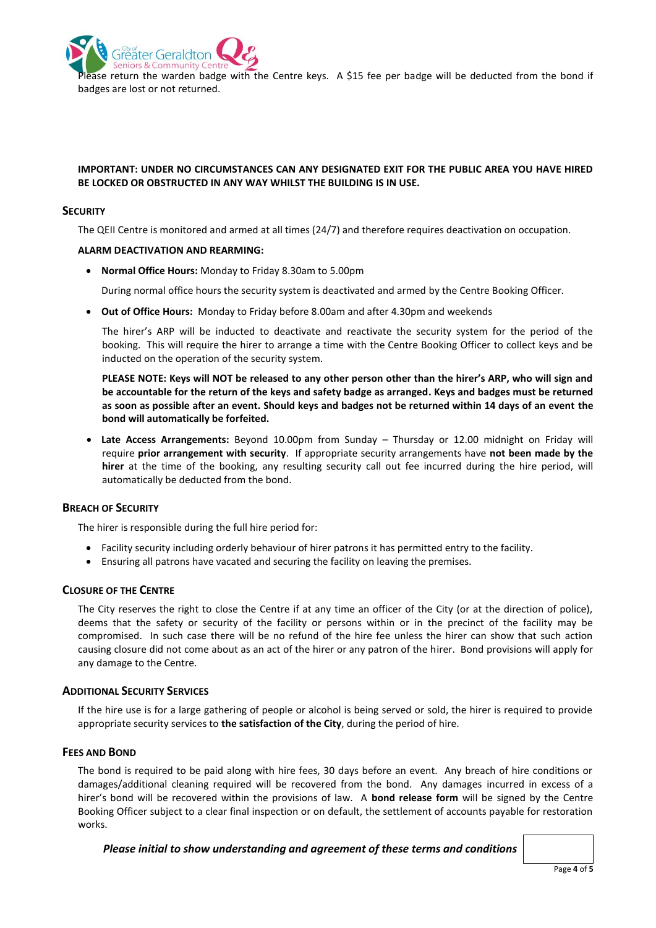Seniors & Communit Pase return the warden badge with the Centre keys. A \$15 fee per badge will be deducted from the bond if badges are lost or not returned.

# **IMPORTANT: UNDER NO CIRCUMSTANCES CAN ANY DESIGNATED EXIT FOR THE PUBLIC AREA YOU HAVE HIRED BE LOCKED OR OBSTRUCTED IN ANY WAY WHILST THE BUILDING IS IN USE.**

## **SECURITY**

The QEII Centre is monitored and armed at all times (24/7) and therefore requires deactivation on occupation.

## **ALARM DEACTIVATION AND REARMING:**

äter Geraldtor

**Normal Office Hours:** Monday to Friday 8.30am to 5.00pm

During normal office hours the security system is deactivated and armed by the Centre Booking Officer.

**Out of Office Hours:** Monday to Friday before 8.00am and after 4.30pm and weekends

The hirer's ARP will be inducted to deactivate and reactivate the security system for the period of the booking. This will require the hirer to arrange a time with the Centre Booking Officer to collect keys and be inducted on the operation of the security system.

**PLEASE NOTE: Keys will NOT be released to any other person other than the hirer's ARP, who will sign and be accountable for the return of the keys and safety badge as arranged. Keys and badges must be returned as soon as possible after an event. Should keys and badges not be returned within 14 days of an event the bond will automatically be forfeited.**

 **Late Access Arrangements:** Beyond 10.00pm from Sunday – Thursday or 12.00 midnight on Friday will require **prior arrangement with security**. If appropriate security arrangements have **not been made by the hirer** at the time of the booking, any resulting security call out fee incurred during the hire period, will automatically be deducted from the bond.

# **BREACH OF SECURITY**

The hirer is responsible during the full hire period for:

- Facility security including orderly behaviour of hirer patrons it has permitted entry to the facility.
- Ensuring all patrons have vacated and securing the facility on leaving the premises.

# **CLOSURE OF THE CENTRE**

The City reserves the right to close the Centre if at any time an officer of the City (or at the direction of police), deems that the safety or security of the facility or persons within or in the precinct of the facility may be compromised. In such case there will be no refund of the hire fee unless the hirer can show that such action causing closure did not come about as an act of the hirer or any patron of the hirer. Bond provisions will apply for any damage to the Centre.

# **ADDITIONAL SECURITY SERVICES**

If the hire use is for a large gathering of people or alcohol is being served or sold, the hirer is required to provide appropriate security services to **the satisfaction of the City**, during the period of hire.

#### **FEES AND BOND**

The bond is required to be paid along with hire fees, 30 days before an event. Any breach of hire conditions or damages/additional cleaning required will be recovered from the bond. Any damages incurred in excess of a hirer's bond will be recovered within the provisions of law. A **bond release form** will be signed by the Centre Booking Officer subject to a clear final inspection or on default, the settlement of accounts payable for restoration works.